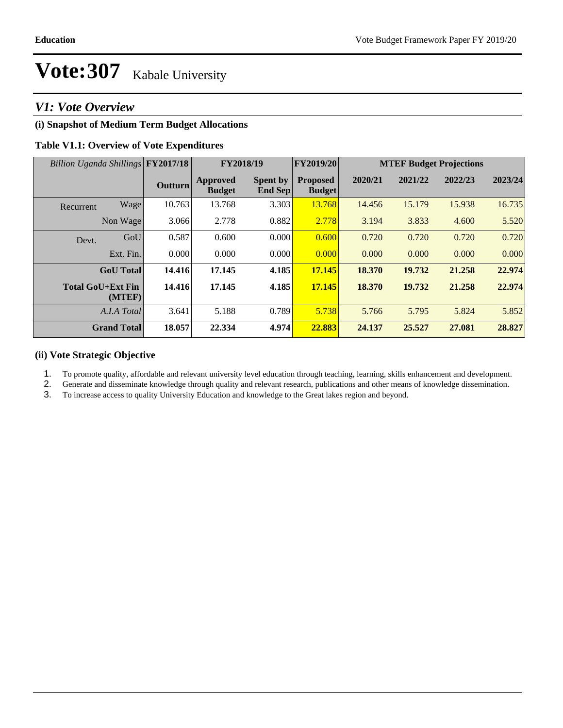### *V1: Vote Overview*

### **(i) Snapshot of Medium Term Budget Allocations**

### **Table V1.1: Overview of Vote Expenditures**

| Billion Uganda Shillings FY2017/18 |                    |                | FY2018/19                        |                                   | FY2019/20                        | <b>MTEF Budget Projections</b> |         |         |         |
|------------------------------------|--------------------|----------------|----------------------------------|-----------------------------------|----------------------------------|--------------------------------|---------|---------|---------|
|                                    |                    | <b>Outturn</b> | <b>Approved</b><br><b>Budget</b> | <b>Spent by</b><br><b>End Sep</b> | <b>Proposed</b><br><b>Budget</b> | 2020/21                        | 2021/22 | 2022/23 | 2023/24 |
| Recurrent                          | Wage               | 10.763         | 13.768                           | 3.303                             | 13.768                           | 14.456                         | 15.179  | 15.938  | 16.735  |
|                                    | Non Wage           | 3.066          | 2.778                            | 0.882                             | 2.778                            | 3.194                          | 3.833   | 4.600   | 5.520   |
| Devt.                              | GoU                | 0.587          | 0.600                            | 0.000                             | 0.600                            | 0.720                          | 0.720   | 0.720   | 0.720   |
|                                    | Ext. Fin.          | 0.000          | 0.000                            | 0.000                             | 0.000                            | 0.000                          | 0.000   | 0.000   | 0.000   |
|                                    | <b>GoU</b> Total   | 14.416         | 17.145                           | 4.185                             | 17.145                           | 18.370                         | 19.732  | 21.258  | 22.974  |
| <b>Total GoU+Ext Fin</b>           | (MTEF)             | 14.416         | 17.145                           | 4.185                             | 17.145                           | 18.370                         | 19.732  | 21.258  | 22.974  |
|                                    | A.I.A Total        | 3.641          | 5.188                            | 0.789                             | 5.738                            | 5.766                          | 5.795   | 5.824   | 5.852   |
|                                    | <b>Grand Total</b> | 18.057         | 22.334                           | 4.974                             | 22.883                           | 24.137                         | 25.527  | 27.081  | 28.827  |

### **(ii) Vote Strategic Objective**

1. To promote quality, affordable and relevant university level education through teaching, learning, skills enhancement and development.

2. Generate and disseminate knowledge through quality and relevant research, publications and other means of knowledge dissemination.

3. To increase access to quality University Education and knowledge to the Great lakes region and beyond.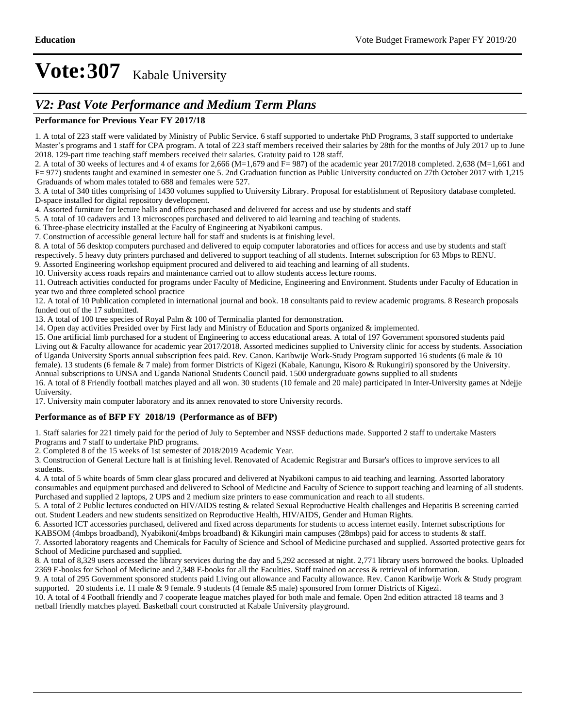### *V2: Past Vote Performance and Medium Term Plans*

### **Performance for Previous Year FY 2017/18**

1. A total of 223 staff were validated by Ministry of Public Service. 6 staff supported to undertake PhD Programs, 3 staff supported to undertake Master's programs and 1 staff for CPA program. A total of 223 staff members received their salaries by 28th for the months of July 2017 up to June 2018. 129-part time teaching staff members received their salaries. Gratuity paid to 128 staff.

2. A total of 30 weeks of lectures and 4 of exams for 2,666 (M=1,679 and F= 987) of the academic year 2017/2018 completed. 2,638 (M=1,661 and F= 977) students taught and examined in semester one 5. 2nd Graduation function as Public University conducted on 27th October 2017 with 1,215 Graduands of whom males totaled to 688 and females were 527.

3. A total of 340 titles comprising of 1430 volumes supplied to University Library. Proposal for establishment of Repository database completed. D-space installed for digital repository development.

4. Assorted furniture for lecture halls and offices purchased and delivered for access and use by students and staff

5. A total of 10 cadavers and 13 microscopes purchased and delivered to aid learning and teaching of students.

6. Three-phase electricity installed at the Faculty of Engineering at Nyabikoni campus.

7. Construction of accessible general lecture hall for staff and students is at finishing level.

8. A total of 56 desktop computers purchased and delivered to equip computer laboratories and offices for access and use by students and staff respectively. 5 heavy duty printers purchased and delivered to support teaching of all students. Internet subscription for 63 Mbps to RENU.

9. Assorted Engineering workshop equipment procured and delivered to aid teaching and learning of all students.

10. University access roads repairs and maintenance carried out to allow students access lecture rooms.

11. Outreach activities conducted for programs under Faculty of Medicine, Engineering and Environment. Students under Faculty of Education in year two and three completed school practice

12. A total of 10 Publication completed in international journal and book. 18 consultants paid to review academic programs. 8 Research proposals funded out of the 17 submitted.

13. A total of 100 tree species of Royal Palm & 100 of Terminalia planted for demonstration.

14. Open day activities Presided over by First lady and Ministry of Education and Sports organized & implemented.

15. One artificial limb purchased for a student of Engineering to access educational areas. A total of 197 Government sponsored students paid Living out & Faculty allowance for academic year 2017/2018. Assorted medicines supplied to University clinic for access by students. Association of Uganda University Sports annual subscription fees paid. Rev. Canon. Karibwije Work-Study Program supported 16 students (6 male & 10 female). 13 students (6 female & 7 male) from former Districts of Kigezi (Kabale, Kanungu, Kisoro & Rukungiri) sponsored by the University. Annual subscriptions to UNSA and Uganda National Students Council paid. 1500 undergraduate gowns supplied to all students 16. A total of 8 Friendly football matches played and all won. 30 students (10 female and 20 male) participated in Inter-University games at Ndejje

University. 17. University main computer laboratory and its annex renovated to store University records.

### **Performance as of BFP FY 2018/19 (Performance as of BFP)**

1. Staff salaries for 221 timely paid for the period of July to September and NSSF deductions made. Supported 2 staff to undertake Masters Programs and 7 staff to undertake PhD programs.

2. Completed 8 of the 15 weeks of 1st semester of 2018/2019 Academic Year.

3. Construction of General Lecture hall is at finishing level. Renovated of Academic Registrar and Bursar's offices to improve services to all students.

4. A total of 5 white boards of 5mm clear glass procured and delivered at Nyabikoni campus to aid teaching and learning. Assorted laboratory consumables and equipment purchased and delivered to School of Medicine and Faculty of Science to support teaching and learning of all students. Purchased and supplied 2 laptops, 2 UPS and 2 medium size printers to ease communication and reach to all students.

5. A total of 2 Public lectures conducted on HIV/AIDS testing & related Sexual Reproductive Health challenges and Hepatitis B screening carried out. Student Leaders and new students sensitized on Reproductive Health, HIV/AIDS, Gender and Human Rights.

6. Assorted ICT accessories purchased, delivered and fixed across departments for students to access internet easily. Internet subscriptions for KABSOM (4mbps broadband), Nyabikoni(4mbps broadband) & Kikungiri main campuses (28mbps) paid for access to students & staff.

7. Assorted laboratory reagents and Chemicals for Faculty of Science and School of Medicine purchased and supplied. Assorted protective gears for School of Medicine purchased and supplied.

8. A total of 8,329 users accessed the library services during the day and 5,292 accessed at night. 2,771 library users borrowed the books. Uploaded 2369 E-books for School of Medicine and 2,348 E-books for all the Faculties. Staff trained on access & retrieval of information.

9. A total of 295 Government sponsored students paid Living out allowance and Faculty allowance. Rev. Canon Karibwije Work & Study program supported. 20 students i.e. 11 male & 9 female. 9 students (4 female &5 male) sponsored from former Districts of Kigezi.

10. A total of 4 Football friendly and 7 cooperate league matches played for both male and female. Open 2nd edition attracted 18 teams and 3 netball friendly matches played. Basketball court constructed at Kabale University playground.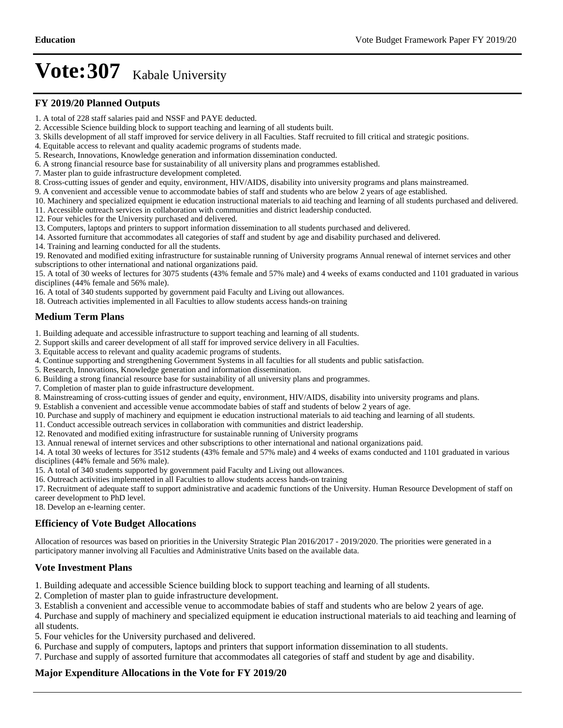#### **FY 2019/20 Planned Outputs**

- 1. A total of 228 staff salaries paid and NSSF and PAYE deducted.
- 2. Accessible Science building block to support teaching and learning of all students built.
- 3. Skills development of all staff improved for service delivery in all Faculties. Staff recruited to fill critical and strategic positions.
- 4. Equitable access to relevant and quality academic programs of students made.
- 5. Research, Innovations, Knowledge generation and information dissemination conducted.
- 6. A strong financial resource base for sustainability of all university plans and programmes established.
- 7. Master plan to guide infrastructure development completed.
- 8. Cross-cutting issues of gender and equity, environment, HIV/AIDS, disability into university programs and plans mainstreamed.
- 9. A convenient and accessible venue to accommodate babies of staff and students who are below 2 years of age established.
- 10. Machinery and specialized equipment ie education instructional materials to aid teaching and learning of all students purchased and delivered.
- 11. Accessible outreach services in collaboration with communities and district leadership conducted.
- 12. Four vehicles for the University purchased and delivered.
- 13. Computers, laptops and printers to support information dissemination to all students purchased and delivered.
- 14. Assorted furniture that accommodates all categories of staff and student by age and disability purchased and delivered.
- 14. Training and learning conducted for all the students.

19. Renovated and modified exiting infrastructure for sustainable running of University programs Annual renewal of internet services and other subscriptions to other international and national organizations paid.

15. A total of 30 weeks of lectures for 3075 students (43% female and 57% male) and 4 weeks of exams conducted and 1101 graduated in various disciplines (44% female and 56% male).

16. A total of 340 students supported by government paid Faculty and Living out allowances.

18. Outreach activities implemented in all Faculties to allow students access hands-on training

### **Medium Term Plans**

1. Building adequate and accessible infrastructure to support teaching and learning of all students.

- 2. Support skills and career development of all staff for improved service delivery in all Faculties.
- 3. Equitable access to relevant and quality academic programs of students.
- 4. Continue supporting and strengthening Government Systems in all faculties for all students and public satisfaction.
- 5. Research, Innovations, Knowledge generation and information dissemination.
- 6. Building a strong financial resource base for sustainability of all university plans and programmes.
- 7. Completion of master plan to guide infrastructure development.
- 8. Mainstreaming of cross-cutting issues of gender and equity, environment, HIV/AIDS, disability into university programs and plans.

9. Establish a convenient and accessible venue accommodate babies of staff and students of below 2 years of age.

- 10. Purchase and supply of machinery and equipment ie education instructional materials to aid teaching and learning of all students.
- 11. Conduct accessible outreach services in collaboration with communities and district leadership.
- 12. Renovated and modified exiting infrastructure for sustainable running of University programs
- 13. Annual renewal of internet services and other subscriptions to other international and national organizations paid.

14. A total 30 weeks of lectures for 3512 students (43% female and 57% male) and 4 weeks of exams conducted and 1101 graduated in various disciplines (44% female and 56% male).

- 15. A total of 340 students supported by government paid Faculty and Living out allowances.
- 16. Outreach activities implemented in all Faculties to allow students access hands-on training

17. Recruitment of adequate staff to support administrative and academic functions of the University. Human Resource Development of staff on career development to PhD level.

18. Develop an e-learning center.

### **Efficiency of Vote Budget Allocations**

Allocation of resources was based on priorities in the University Strategic Plan 2016/2017 - 2019/2020. The priorities were generated in a participatory manner involving all Faculties and Administrative Units based on the available data.

#### **Vote Investment Plans**

- 1. Building adequate and accessible Science building block to support teaching and learning of all students.
- 2. Completion of master plan to guide infrastructure development.
- 3. Establish a convenient and accessible venue to accommodate babies of staff and students who are below 2 years of age.
- 4. Purchase and supply of machinery and specialized equipment ie education instructional materials to aid teaching and learning of all students.
- 5. Four vehicles for the University purchased and delivered.
- 6. Purchase and supply of computers, laptops and printers that support information dissemination to all students.
- 7. Purchase and supply of assorted furniture that accommodates all categories of staff and student by age and disability.

### **Major Expenditure Allocations in the Vote for FY 2019/20**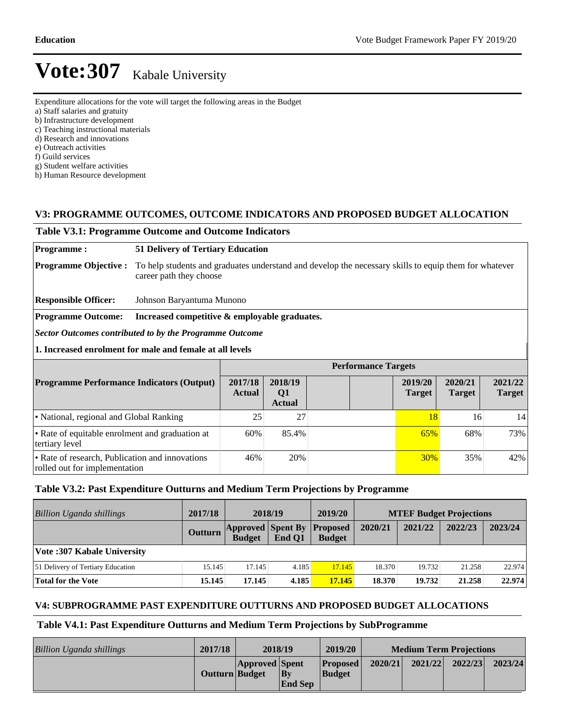- Expenditure allocations for the vote will target the following areas in the Budget
- a) Staff salaries and gratuity
- b) Infrastructure development

c) Teaching instructional materials

- d) Research and innovations
- e) Outreach activities
- f) Guild services
- g) Student welfare activities

h) Human Resource development

### **V3: PROGRAMME OUTCOMES, OUTCOME INDICATORS AND PROPOSED BUDGET ALLOCATION**

#### **Table V3.1: Programme Outcome and Outcome Indicators**

#### **Programme : 51 Delivery of Tertiary Education**

**Programme Objective :** To help students and graduates understand and develop the necessary skills to equip them for whatever career path they choose

**Responsible Officer:** Johnson Baryantuma Munono

**Programme Outcome: Increased competitive & employable graduates.**

*Sector Outcomes contributed to by the Programme Outcome*

**1. Increased enrolment for male and female at all levels**

|                                                                                  | <b>Performance Targets</b> |                                |  |                          |                          |                          |  |  |  |
|----------------------------------------------------------------------------------|----------------------------|--------------------------------|--|--------------------------|--------------------------|--------------------------|--|--|--|
| <b>Programme Performance Indicators (Output)</b>                                 | 2017/18<br><b>Actual</b>   | 2018/19<br>Q1<br><b>Actual</b> |  | 2019/20<br><b>Target</b> | 2020/21<br><b>Target</b> | 2021/22<br><b>Target</b> |  |  |  |
| • National, regional and Global Ranking                                          | 25                         | 27                             |  | 18                       | 16                       | 14                       |  |  |  |
| • Rate of equitable enrolment and graduation at<br>tertiary level                | 60%                        | 85.4%                          |  | 65%                      | 68%                      | 73%                      |  |  |  |
| • Rate of research, Publication and innovations<br>rolled out for implementation | 46%                        | 20%                            |  | <b>30%</b>               | 35%                      | 42%                      |  |  |  |

### **Table V3.2: Past Expenditure Outturns and Medium Term Projections by Programme**

| <b>Billion Uganda shillings</b>   | 2017/18 | 2018/19                                   |        | 2019/20                          | <b>MTEF Budget Projections</b> |         |         |         |
|-----------------------------------|---------|-------------------------------------------|--------|----------------------------------|--------------------------------|---------|---------|---------|
|                                   | Outturn | <b>Approved Spent By</b><br><b>Budget</b> | End O1 | <b>Proposed</b><br><b>Budget</b> | 2020/21                        | 2021/22 | 2022/23 | 2023/24 |
| Vote: 307 Kabale University       |         |                                           |        |                                  |                                |         |         |         |
| 51 Delivery of Tertiary Education | 15.145  | 17.145                                    | 4.185  | 17.145                           | 18.370                         | 19.732  | 21.258  | 22.974  |
| Total for the Vote                | 15.145  | 17.145                                    | 4.185  | 17.145                           | 18.370                         | 19.732  | 21.258  | 22.974  |

### **V4: SUBPROGRAMME PAST EXPENDITURE OUTTURNS AND PROPOSED BUDGET ALLOCATIONS**

#### **Table V4.1: Past Expenditure Outturns and Medium Term Projections by SubProgramme**

| Billion Uganda shillings | 2017/18        | 2018/19               |                                       | 2019/20                          | <b>Medium Term Projections</b> |         |         |         |
|--------------------------|----------------|-----------------------|---------------------------------------|----------------------------------|--------------------------------|---------|---------|---------|
|                          | Outturn Budget | <b>Approved</b> Spent | $ {\bf B} {\bf v} $<br><b>End Sep</b> | <b>Proposed</b><br><b>Budget</b> | 2020/21                        | 2021/22 | 2022/23 | 2023/24 |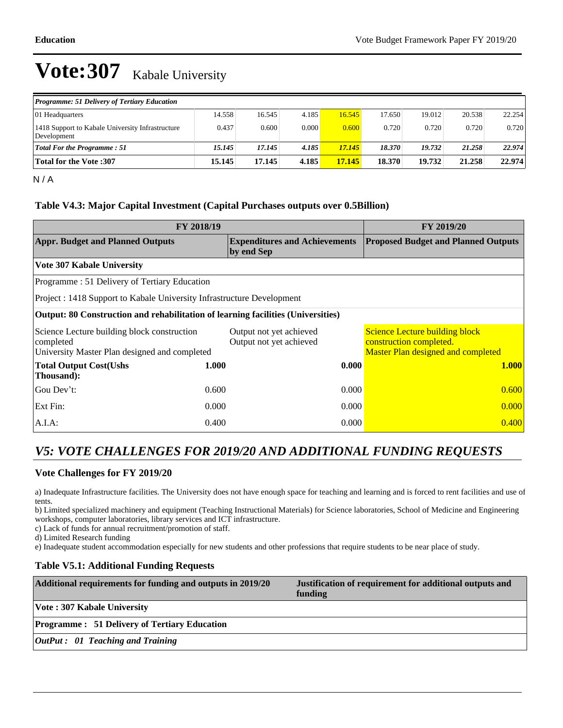| <b>Programme: 51 Delivery of Tertiary Education</b>             |        |        |       |        |        |        |        |        |
|-----------------------------------------------------------------|--------|--------|-------|--------|--------|--------|--------|--------|
| 01 Headquarters                                                 | 14.558 | 16.545 | 4.185 | 16.545 | 17.650 | 19.012 | 20.538 | 22.254 |
| 1418 Support to Kabale University Infrastructure<br>Development | 0.437  | 0.600  | 0.000 | 0.600  | 0.720  | 0.720  | 0.720  | 0.720  |
| <b>Total For the Programme: 51</b>                              | 15.145 | 17.145 | 4.185 | 17.145 | 18.370 | 19.732 | 21.258 | 22.974 |
| <b>Total for the Vote :307</b>                                  | 15.145 | 17.145 | 4.185 | 17.145 | 18.370 | 19.732 | 21.258 | 22.974 |

 $N/A$ 

### **Table V4.3: Major Capital Investment (Capital Purchases outputs over 0.5Billion)**

| FY 2018/19                                                                                                | FY 2019/20 |                                                    |                                                                                                        |  |
|-----------------------------------------------------------------------------------------------------------|------------|----------------------------------------------------|--------------------------------------------------------------------------------------------------------|--|
| <b>Appr. Budget and Planned Outputs</b>                                                                   |            | <b>Expenditures and Achievements</b><br>by end Sep | <b>Proposed Budget and Planned Outputs</b>                                                             |  |
| Vote 307 Kabale University                                                                                |            |                                                    |                                                                                                        |  |
| Programme: 51 Delivery of Tertiary Education                                                              |            |                                                    |                                                                                                        |  |
| Project : 1418 Support to Kabale University Infrastructure Development                                    |            |                                                    |                                                                                                        |  |
| Output: 80 Construction and rehabilitation of learning facilities (Universities)                          |            |                                                    |                                                                                                        |  |
| Science Lecture building block construction<br>completed<br>University Master Plan designed and completed |            | Output not yet achieved<br>Output not yet achieved | <b>Science Lecture building block</b><br>construction completed.<br>Master Plan designed and completed |  |
| <b>Total Output Cost(Ushs</b><br>Thousand):                                                               | 1.000      | 0.000                                              | <b>1.000</b>                                                                                           |  |
| Gou Dev't:                                                                                                | 0.600      | 0.000                                              | 0.600                                                                                                  |  |
| Ext Fin:                                                                                                  | 0.000      | 0.000                                              | 0.000                                                                                                  |  |
| $A.I.A$ :                                                                                                 | 0.400      | 0.000                                              | 0.400                                                                                                  |  |

### *V5: VOTE CHALLENGES FOR 2019/20 AND ADDITIONAL FUNDING REQUESTS*

### **Vote Challenges for FY 2019/20**

a) Inadequate Infrastructure facilities. The University does not have enough space for teaching and learning and is forced to rent facilities and use of tents.

b) Limited specialized machinery and equipment (Teaching Instructional Materials) for Science laboratories, School of Medicine and Engineering workshops, computer laboratories, library services and ICT infrastructure.

c) Lack of funds for annual recruitment/promotion of staff.

d) Limited Research funding

e) Inadequate student accommodation especially for new students and other professions that require students to be near place of study.

### **Table V5.1: Additional Funding Requests**

| Additional requirements for funding and outputs in 2019/20 | Justification of requirement for additional outputs and<br>funding |
|------------------------------------------------------------|--------------------------------------------------------------------|
| <b>Vote: 307 Kabale University</b>                         |                                                                    |
| <b>Programme: 51 Delivery of Tertiary Education</b>        |                                                                    |
| $\vert$ OutPut : 01 Teaching and Training                  |                                                                    |